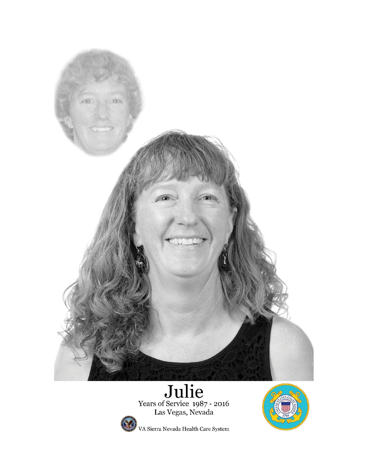

# Julie<br>Vears of Service 1987 - 2016<br>Las Vegas, Nevada



VA Sierra Nevada Health Care System

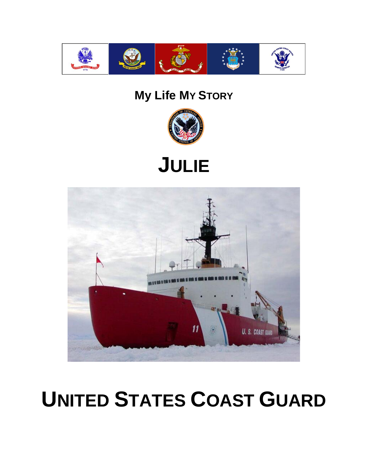

## **My Life MY STORY**







# **UNITED STATES COAST GUARD**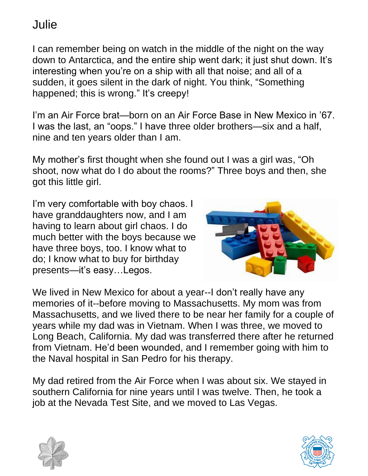I can remember being on watch in the middle of the night on the way down to Antarctica, and the entire ship went dark; it just shut down. It's interesting when you're on a ship with all that noise; and all of a sudden, it goes silent in the dark of night. You think, "Something happened; this is wrong." It's creepy!

I'm an Air Force brat—born on an Air Force Base in New Mexico in '67. I was the last, an "oops." I have three older brothers—six and a half, nine and ten years older than I am.

My mother's first thought when she found out I was a girl was, "Oh shoot, now what do I do about the rooms?" Three boys and then, she got this little girl.

I'm very comfortable with boy chaos. I have granddaughters now, and I am having to learn about girl chaos. I do much better with the boys because we have three boys, too. I know what to do; I know what to buy for birthday presents—it's easy…Legos.



We lived in New Mexico for about a year--I don't really have any memories of it--before moving to Massachusetts. My mom was from Massachusetts, and we lived there to be near her family for a couple of years while my dad was in Vietnam. When I was three, we moved to Long Beach, California. My dad was transferred there after he returned from Vietnam. He'd been wounded, and I remember going with him to the Naval hospital in San Pedro for his therapy.

My dad retired from the Air Force when I was about six. We stayed in southern California for nine years until I was twelve. Then, he took a job at the Nevada Test Site, and we moved to Las Vegas.



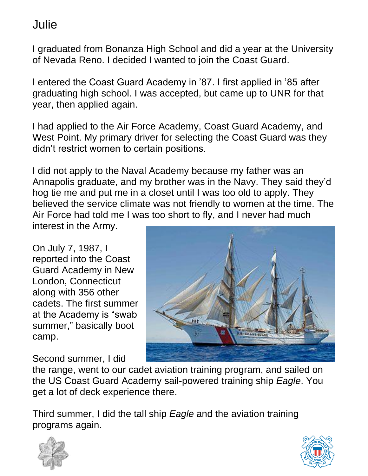I graduated from Bonanza High School and did a year at the University of Nevada Reno. I decided I wanted to join the Coast Guard.

I entered the Coast Guard Academy in '87. I first applied in '85 after graduating high school. I was accepted, but came up to UNR for that year, then applied again.

I had applied to the Air Force Academy, Coast Guard Academy, and West Point. My primary driver for selecting the Coast Guard was they didn't restrict women to certain positions.

I did not apply to the Naval Academy because my father was an Annapolis graduate, and my brother was in the Navy. They said they'd hog tie me and put me in a closet until I was too old to apply. They believed the service climate was not friendly to women at the time. The Air Force had told me I was too short to fly, and I never had much

interest in the Army.

On July 7, 1987, I reported into the Coast Guard Academy in New London, Connecticut along with 356 other cadets. The first summer at the Academy is "swab summer," basically boot camp.

Second summer, I did

the range, went to our cadet aviation training program, and sailed on the US Coast Guard Academy sail-powered training ship *Eagle*. You get a lot of deck experience there.

Third summer, I did the tall ship *Eagle* and the aviation training programs again.



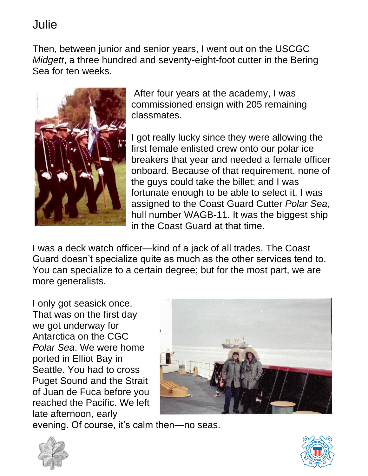Then, between junior and senior years, I went out on the USCGC *Midgett*, a three hundred and seventy-eight-foot cutter in the Bering Sea for ten weeks.



After four years at the academy, I was commissioned ensign with 205 remaining classmates.

I got really lucky since they were allowing the first female enlisted crew onto our polar ice breakers that year and needed a female officer onboard. Because of that requirement, none of the guys could take the billet; and I was fortunate enough to be able to select it. I was assigned to the Coast Guard Cutter *Polar Sea*, hull number WAGB-11. It was the biggest ship in the Coast Guard at that time.

I was a deck watch officer—kind of a jack of all trades. The Coast Guard doesn't specialize quite as much as the other services tend to. You can specialize to a certain degree; but for the most part, we are more generalists.

I only got seasick once. That was on the first day we got underway for Antarctica on the CGC *Polar Sea*. We were home ported in Elliot Bay in Seattle. You had to cross Puget Sound and the Strait of Juan de Fuca before you reached the Pacific. We left late afternoon, early



evening. Of course, it's calm then—no seas.



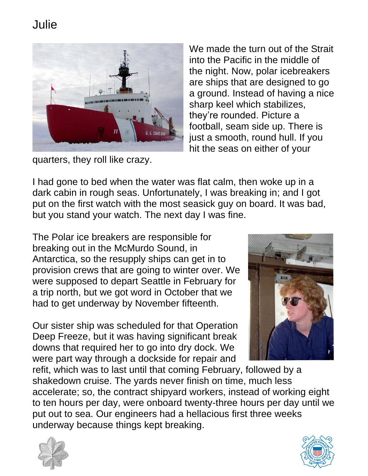

We made the turn out of the Strait into the Pacific in the middle of the night. Now, polar icebreakers are ships that are designed to go a ground. Instead of having a nice sharp keel which stabilizes, they're rounded. Picture a football, seam side up. There is just a smooth, round hull. If you hit the seas on either of your

quarters, they roll like crazy.

I had gone to bed when the water was flat calm, then woke up in a dark cabin in rough seas. Unfortunately, I was breaking in; and I got put on the first watch with the most seasick guy on board. It was bad, but you stand your watch. The next day I was fine.

The Polar ice breakers are responsible for breaking out in the McMurdo Sound, in Antarctica, so the resupply ships can get in to provision crews that are going to winter over. We were supposed to depart Seattle in February for a trip north, but we got word in October that we had to get underway by November fifteenth.

Our sister ship was scheduled for that Operation Deep Freeze, but it was having significant break downs that required her to go into dry dock. We were part way through a dockside for repair and



refit, which was to last until that coming February, followed by a shakedown cruise. The yards never finish on time, much less accelerate; so, the contract shipyard workers, instead of working eight to ten hours per day, were onboard twenty-three hours per day until we put out to sea. Our engineers had a hellacious first three weeks underway because things kept breaking.



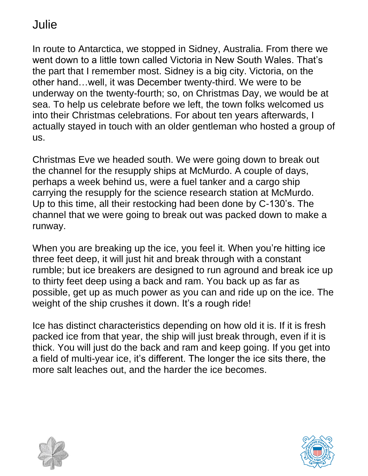In route to Antarctica, we stopped in Sidney, Australia. From there we went down to a little town called Victoria in New South Wales. That's the part that I remember most. Sidney is a big city. Victoria, on the other hand…well, it was December twenty-third. We were to be underway on the twenty-fourth; so, on Christmas Day, we would be at sea. To help us celebrate before we left, the town folks welcomed us into their Christmas celebrations. For about ten years afterwards, I actually stayed in touch with an older gentleman who hosted a group of us.

Christmas Eve we headed south. We were going down to break out the channel for the resupply ships at McMurdo. A couple of days, perhaps a week behind us, were a fuel tanker and a cargo ship carrying the resupply for the science research station at McMurdo. Up to this time, all their restocking had been done by C-130's. The channel that we were going to break out was packed down to make a runway.

When you are breaking up the ice, you feel it. When you're hitting ice three feet deep, it will just hit and break through with a constant rumble; but ice breakers are designed to run aground and break ice up to thirty feet deep using a back and ram. You back up as far as possible, get up as much power as you can and ride up on the ice. The weight of the ship crushes it down. It's a rough ride!

Ice has distinct characteristics depending on how old it is. If it is fresh packed ice from that year, the ship will just break through, even if it is thick. You will just do the back and ram and keep going. If you get into a field of multi-year ice, it's different. The longer the ice sits there, the more salt leaches out, and the harder the ice becomes.



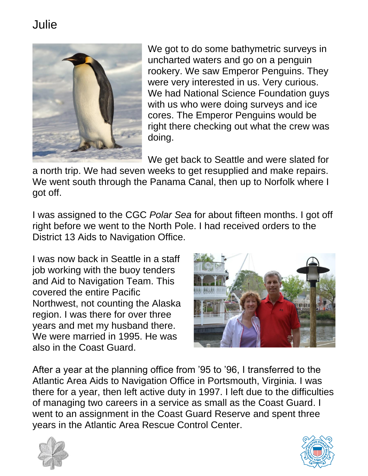

We got to do some bathymetric surveys in uncharted waters and go on a penguin rookery. We saw Emperor Penguins. They were very interested in us. Very curious. We had National Science Foundation guys with us who were doing surveys and ice cores. The Emperor Penguins would be right there checking out what the crew was doing.

We get back to Seattle and were slated for

a north trip. We had seven weeks to get resupplied and make repairs. We went south through the Panama Canal, then up to Norfolk where I got off.

I was assigned to the CGC *Polar Sea* for about fifteen months. I got off right before we went to the North Pole. I had received orders to the District 13 Aids to Navigation Office.

I was now back in Seattle in a staff job working with the buoy tenders and Aid to Navigation Team. This covered the entire Pacific Northwest, not counting the Alaska region. I was there for over three years and met my husband there. We were married in 1995. He was also in the Coast Guard.



After a year at the planning office from '95 to '96, I transferred to the Atlantic Area Aids to Navigation Office in Portsmouth, Virginia. I was there for a year, then left active duty in 1997. I left due to the difficulties of managing two careers in a service as small as the Coast Guard. I went to an assignment in the Coast Guard Reserve and spent three years in the Atlantic Area Rescue Control Center.



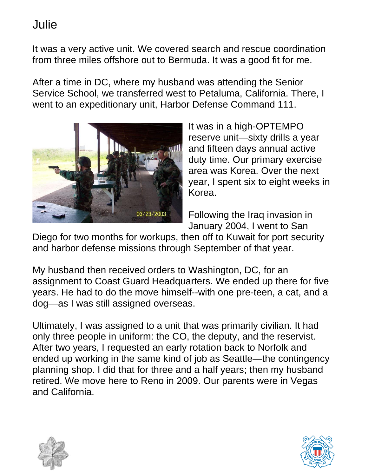It was a very active unit. We covered search and rescue coordination from three miles offshore out to Bermuda. It was a good fit for me.

After a time in DC, where my husband was attending the Senior Service School, we transferred west to Petaluma, California. There, I went to an expeditionary unit, Harbor Defense Command 111.



It was in a high-OPTEMPO reserve unit—sixty drills a year and fifteen days annual active duty time. Our primary exercise area was Korea. Over the next year, I spent six to eight weeks in Korea.

Following the Iraq invasion in January 2004, I went to San

Diego for two months for workups, then off to Kuwait for port security and harbor defense missions through September of that year.

My husband then received orders to Washington, DC, for an assignment to Coast Guard Headquarters. We ended up there for five years. He had to do the move himself--with one pre-teen, a cat, and a dog—as I was still assigned overseas.

Ultimately, I was assigned to a unit that was primarily civilian. It had only three people in uniform: the CO, the deputy, and the reservist. After two years, I requested an early rotation back to Norfolk and ended up working in the same kind of job as Seattle—the contingency planning shop. I did that for three and a half years; then my husband retired. We move here to Reno in 2009. Our parents were in Vegas and California.